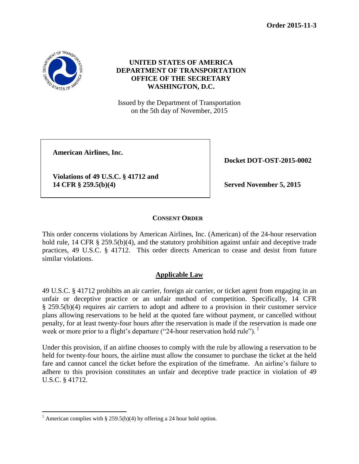**Order 2015-11-3**



 $\overline{a}$ 

# **UNITED STATES OF AMERICA DEPARTMENT OF TRANSPORTATION OFFICE OF THE SECRETARY WASHINGTON, D.C.**

Issued by the Department of Transportation on the 5th day of November, 2015

**American Airlines, Inc.**

**Violations of 49 U.S.C. § 41712 and 14 CFR § 259.5(b)(4) Served November 5, 2015**

**Docket DOT-OST-2015-0002**

## **CONSENT ORDER**

This order concerns violations by American Airlines, Inc. (American) of the 24-hour reservation hold rule, 14 CFR § 259.5(b)(4), and the statutory prohibition against unfair and deceptive trade practices, 49 U.S.C. § 41712. This order directs American to cease and desist from future similar violations.

## **Applicable Law**

49 U.S.C. § 41712 prohibits an air carrier, foreign air carrier, or ticket agent from engaging in an unfair or deceptive practice or an unfair method of competition. Specifically, 14 CFR § 259.5(b)(4) requires air carriers to adopt and adhere to a provision in their customer service plans allowing reservations to be held at the quoted fare without payment, or cancelled without penalty, for at least twenty-four hours after the reservation is made if the reservation is made one week or more prior to a flight's departure ("24-hour reservation hold rule"). <sup>1</sup>

Under this provision, if an airline chooses to comply with the rule by allowing a reservation to be held for twenty-four hours, the airline must allow the consumer to purchase the ticket at the held fare and cannot cancel the ticket before the expiration of the timeframe. An airline's failure to adhere to this provision constitutes an unfair and deceptive trade practice in violation of 49 U.S.C. § 41712.

<sup>&</sup>lt;sup>1</sup> American complies with § 259.5(b)(4) by offering a 24 hour hold option.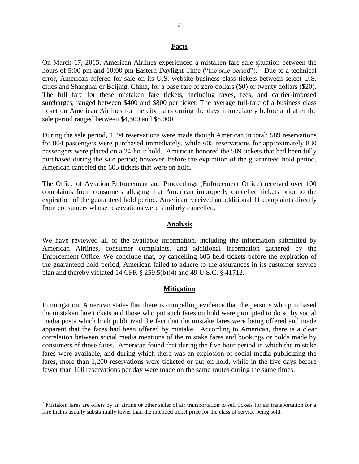#### **Facts**

On March 17, 2015, American Airlines experienced a mistaken fare sale situation between the hours of 5:00 pm and 10:00 pm Eastern Daylight Time ("the sale period").<sup>2</sup> Due to a technical error, American offered for sale on its U.S. website business class tickets between select U.S. cities and Shanghai or Beijing, China, for a base fare of zero dollars (\$0) or twenty dollars (\$20). The full fare for these mistaken fare tickets, including taxes, fees, and carrier-imposed surcharges, ranged between \$400 and \$800 per ticket. The average full-fare of a business class ticket on American Airlines for the city pairs during the days immediately before and after the sale period ranged between \$4,500 and \$5,000.

During the sale period, 1194 reservations were made though American in total: 589 reservations for 804 passengers were purchased immediately, while 605 reservations for approximately 830 passengers were placed on a 24-hour hold. American honored the 589 tickets that had been fully purchased during the sale period; however, before the expiration of the guaranteed hold period, American canceled the 605 tickets that were on hold.

The Office of Aviation Enforcement and Proceedings (Enforcement Office) received over 100 complaints from consumers alleging that American improperly cancelled tickets prior to the expiration of the guaranteed hold period. American received an additional 11 complaints directly from consumers whose reservations were similarly cancelled.

#### **Analysis**

We have reviewed all of the available information, including the information submitted by American Airlines, consumer complaints, and additional information gathered by the Enforcement Office. We conclude that, by cancelling 605 held tickets before the expiration of the guaranteed hold period, American failed to adhere to the assurances in its customer service plan and thereby violated 14 CFR § 259.5(b)(4) and 49 U.S.C. § 41712.

#### **Mitigation**

In mitigation, American states that there is compelling evidence that the persons who purchased the mistaken fare tickets and those who put such fares on hold were prompted to do so by social media posts which both publicized the fact that the mistake fares were being offered and made apparent that the fares had been offered by mistake. According to American, there is a clear correlation between social media mentions of the mistake fares and bookings or holds made by consumers of those fares. American found that during the five hour period in which the mistake fares were available, and during which there was an explosion of social media publicizing the fares, more than 1,200 reservations were ticketed or put on hold, while in the five days before fewer than 100 reservations per day were made on the same routes during the same times.

 $\overline{a}$ 

 $2$  Mistaken fares are offers by an airline or other seller of air transportation to sell tickets for air transportation for a fare that is usually substantially lower than the intended ticket price for the class of service being sold.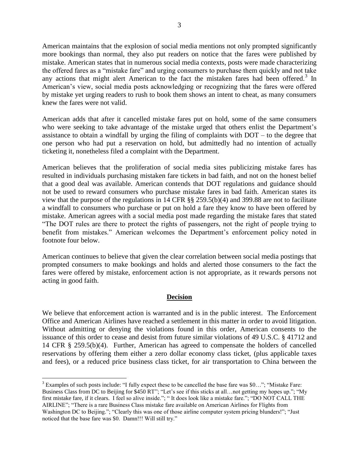American maintains that the explosion of social media mentions not only prompted significantly more bookings than normal, they also put readers on notice that the fares were published by mistake. American states that in numerous social media contexts, posts were made characterizing the offered fares as a "mistake fare" and urging consumers to purchase them quickly and not take any actions that might alert American to the fact the mistaken fares had been offered.<sup>3</sup> In American's view, social media posts acknowledging or recognizing that the fares were offered by mistake yet urging readers to rush to book them shows an intent to cheat, as many consumers knew the fares were not valid.

American adds that after it cancelled mistake fares put on hold, some of the same consumers who were seeking to take advantage of the mistake urged that others enlist the Department's assistance to obtain a windfall by urging the filing of complaints with DOT – to the degree that one person who had put a reservation on hold, but admittedly had no intention of actually ticketing it, nonetheless filed a complaint with the Department.

American believes that the proliferation of social media sites publicizing mistake fares has resulted in individuals purchasing mistaken fare tickets in bad faith, and not on the honest belief that a good deal was available. American contends that DOT regulations and guidance should not be used to reward consumers who purchase mistake fares in bad faith. American states its view that the purpose of the regulations in 14 CFR §§ 259.5(b)(4) and 399.88 are not to facilitate a windfall to consumers who purchase or put on hold a fare they know to have been offered by mistake. American agrees with a social media post made regarding the mistake fares that stated "The DOT rules are there to protect the rights of passengers, not the right of people trying to benefit from mistakes." American welcomes the Department's enforcement policy noted in footnote four below.

American continues to believe that given the clear correlation between social media postings that prompted consumers to make bookings and holds and alerted those consumers to the fact the fares were offered by mistake, enforcement action is not appropriate, as it rewards persons not acting in good faith.

### **Decision**

We believe that enforcement action is warranted and is in the public interest. The Enforcement Office and American Airlines have reached a settlement in this matter in order to avoid litigation. Without admitting or denying the violations found in this order, American consents to the issuance of this order to cease and desist from future similar violations of 49 U.S.C. § 41712 and 14 CFR § 259.5(b)(4). Further, American has agreed to compensate the holders of cancelled reservations by offering them either a zero dollar economy class ticket, (plus applicable taxes and fees), or a reduced price business class ticket, for air transportation to China between the

 $\overline{a}$ 

<sup>3</sup> Examples of such posts include: "I fully expect these to be cancelled the base fare was \$0…"; "Mistake Fare: Business Class from DC to Beijing for \$450 RT"; "Let's see if this sticks at all…not getting my hopes up."; "My first mistake fare, if it clears. I feel so alive inside."; " It does look like a mistake fare."; "DO NOT CALL THE AIRLINE"; "There is a rare Business Class mistake fare available on American Airlines for Flights from Washington DC to Beijing."; "Clearly this was one of those airline computer system pricing blunders!"; "Just noticed that the base fare was \$0. Damn!!! Will still try."